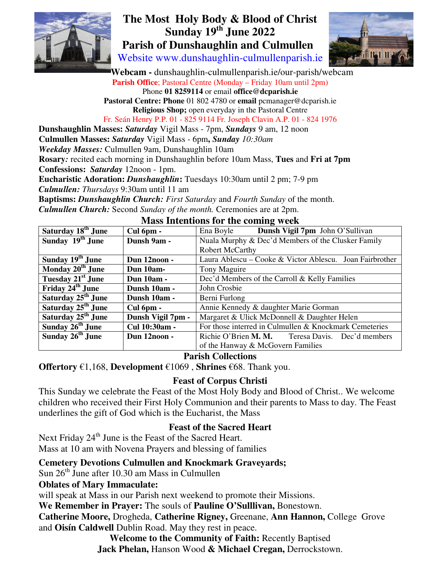

# **The Most Holy Body & Blood of Christ Sunday 19th June 2022 Parish of Dunshaughlin and Culmullen**

Website www.dunshaughlin-culmullenparish.ie



 **Webcam -** dunshaughlin-culmullenparish.ie/our-parish/webcam Parish Office; Pastoral Centre (Monday – Friday 10am until 2pm) Phone **01 8259114** or email **office@dcparish.ie Pastoral Centre: Phone** 01 802 4780 or **email** pcmanager@dcparish.ie **Religious Shop;** open everyday in the Pastoral Centre Fr. Seán Henry P.P. 01 - 825 9114 Fr. Joseph Clavin A.P. 01 - 824 1976 **Dunshaughlin Masses:** *Saturday* Vigil Mass - 7pm, *Sundays* 9 am, 12 noon

**Culmullen Masses:** *Saturday* Vigil Mass - 6pm**,** *Sunday 10:30am Weekday Masses:* Culmullen 9am, Dunshaughlin 10am

**Rosary***:* recited each morning in Dunshaughlin before 10am Mass, **Tues** and **Fri at 7pm Confessions:** *Saturday* 12noon - 1pm.

**Eucharistic Adoration:** *Dunshaughlin***:** Tuesdays 10:30am until 2 pm; 7-9 pm

*Culmullen: Thursdays* 9:30am until 11 am

**Baptisms:** *Dunshaughlin Church: First Saturday* and *Fourth Sunday* of the month.

*Culmullen Church:* Second *Sunday of the month.* Ceremonies are at 2pm.

| Saturday 18 <sup>th</sup> June | Cul 6pm -         | Ena Boyle <b>Dunsh Vigil 7pm</b> John O'Sullivan         |
|--------------------------------|-------------------|----------------------------------------------------------|
| Sunday 19 <sup>th</sup> June   | Dunsh 9am -       | Nuala Murphy & Dec'd Members of the Clusker Family       |
|                                |                   | <b>Robert McCarthy</b>                                   |
| Sunday 19 <sup>th</sup> June   | Dun 12noon -      | Laura Ablescu – Cooke & Victor Ablescu. Joan Fairbrother |
| Monday 20 <sup>th</sup> June   | Dun 10am-         | Tony Maguire                                             |
| Tuesday 21 <sup>st</sup> June  | <b>Dun 10am -</b> | Dec'd Members of the Carroll & Kelly Families            |
| Friday 24 <sup>th</sup> June   | Dunsh 10am -      | John Crosbie                                             |
| Saturday 25 <sup>th</sup> June | Dunsh 10am -      | Berni Furlong                                            |
| Saturday 25 <sup>th</sup> June | Cul 6pm -         | Annie Kennedy & daughter Marie Gorman                    |
| Saturday 25 <sup>th</sup> June | Dunsh Vigil 7pm - | Margaret & Ulick McDonnell & Daughter Helen              |
| Sunday 26 <sup>th</sup> June   | Cul 10:30am -     | For those interred in Culmullen & Knockmark Cemeteries   |
| Sunday 26 <sup>th</sup> June   | Dun 12noon -      | Richie O'Brien M. M. Teresa Davis. Dec'd members         |
|                                |                   | of the Hanway & McGovern Families                        |

#### **Mass Intentions for the coming week**

#### **Parish Collections**

**Offertory** €1,168, **Development** €1069 , **Shrines** €68. Thank you.

## **Feast of Corpus Christi**

This Sunday we celebrate the Feast of the Most Holy Body and Blood of Christ.. We welcome children who received their First Holy Communion and their parents to Mass to day. The Feast underlines the gift of God which is the Eucharist, the Mass

## **Feast of the Sacred Heart**

Next Friday 24<sup>th</sup> June is the Feast of the Sacred Heart. Mass at 10 am with Novena Prayers and blessing of families

**Cemetery Devotions Culmullen and Knockmark Graveyards;**

Sun  $26<sup>th</sup>$  June after 10.30 am Mass in Culmullen

**Oblates of Mary Immaculate:**

will speak at Mass in our Parish next weekend to promote their Missions.

**We Remember in Prayer:** The souls of **Pauline O'Sulllivan,** Bonestown.

**Catherine Moore,** Drogheda, **Catherine Rigney,** Greenane, **Ann Hannon,** College Grove and **Oisín Caldwell** Dublin Road. May they rest in peace.

**Welcome to the Community of Faith:** Recently Baptised **Jack Phelan,** Hanson Wood **& Michael Cregan,** Derrockstown.